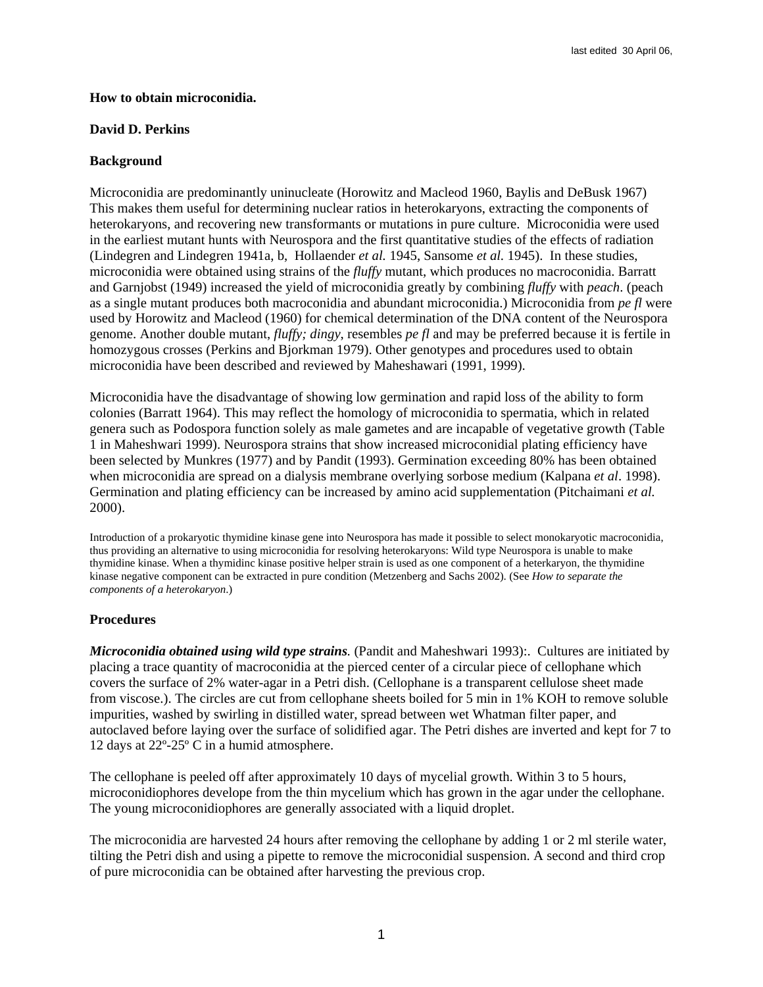## **How to obtain microconidia.**

#### **David D. Perkins**

## **Background**

Microconidia are predominantly uninucleate (Horowitz and Macleod 1960, Baylis and DeBusk 1967) This makes them useful for determining nuclear ratios in heterokaryons, extracting the components of heterokaryons, and recovering new transformants or mutations in pure culture. Microconidia were used in the earliest mutant hunts with Neurospora and the first quantitative studies of the effects of radiation (Lindegren and Lindegren 1941a, b, Hollaender *et al.* 1945, Sansome *et al.* 1945). In these studies, microconidia were obtained using strains of the *fluffy* mutant, which produces no macroconidia. Barratt and Garnjobst (1949) increased the yield of microconidia greatly by combining *fluffy* with *peach*. (peach as a single mutant produces both macroconidia and abundant microconidia.) Microconidia from *pe fl* were used by Horowitz and Macleod (1960) for chemical determination of the DNA content of the Neurospora genome. Another double mutant, *fluffy; dingy*, resembles *pe fl* and may be preferred because it is fertile in homozygous crosses (Perkins and Bjorkman 1979). Other genotypes and procedures used to obtain microconidia have been described and reviewed by Maheshawari (1991, 1999).

Microconidia have the disadvantage of showing low germination and rapid loss of the ability to form colonies (Barratt 1964). This may reflect the homology of microconidia to spermatia, which in related genera such as Podospora function solely as male gametes and are incapable of vegetative growth (Table 1 in Maheshwari 1999). Neurospora strains that show increased microconidial plating efficiency have been selected by Munkres (1977) and by Pandit (1993). Germination exceeding 80% has been obtained when microconidia are spread on a dialysis membrane overlying sorbose medium (Kalpana *et al*. 1998). Germination and plating efficiency can be increased by amino acid supplementation (Pitchaimani *et al.* 2000).

Introduction of a prokaryotic thymidine kinase gene into Neurospora has made it possible to select monokaryotic macroconidia, thus providing an alternative to using microconidia for resolving heterokaryons: Wild type Neurospora is unable to make thymidine kinase. When a thymidinc kinase positive helper strain is used as one component of a heterkaryon, the thymidine kinase negative component can be extracted in pure condition (Metzenberg and Sachs 2002). (See *How to separate the components of a heterokaryon*.)

## **Procedures**

*Microconidia obtained using wild type strains.* (Pandit and Maheshwari 1993):. Cultures are initiated by placing a trace quantity of macroconidia at the pierced center of a circular piece of cellophane which covers the surface of 2% water-agar in a Petri dish. (Cellophane is a transparent cellulose sheet made from viscose.). The circles are cut from cellophane sheets boiled for 5 min in 1% KOH to remove soluble impurities, washed by swirling in distilled water, spread between wet Whatman filter paper, and autoclaved before laying over the surface of solidified agar. The Petri dishes are inverted and kept for 7 to 12 days at 22º-25º C in a humid atmosphere.

The cellophane is peeled off after approximately 10 days of mycelial growth. Within 3 to 5 hours, microconidiophores develope from the thin mycelium which has grown in the agar under the cellophane. The young microconidiophores are generally associated with a liquid droplet.

The microconidia are harvested 24 hours after removing the cellophane by adding 1 or 2 ml sterile water, tilting the Petri dish and using a pipette to remove the microconidial suspension. A second and third crop of pure microconidia can be obtained after harvesting the previous crop.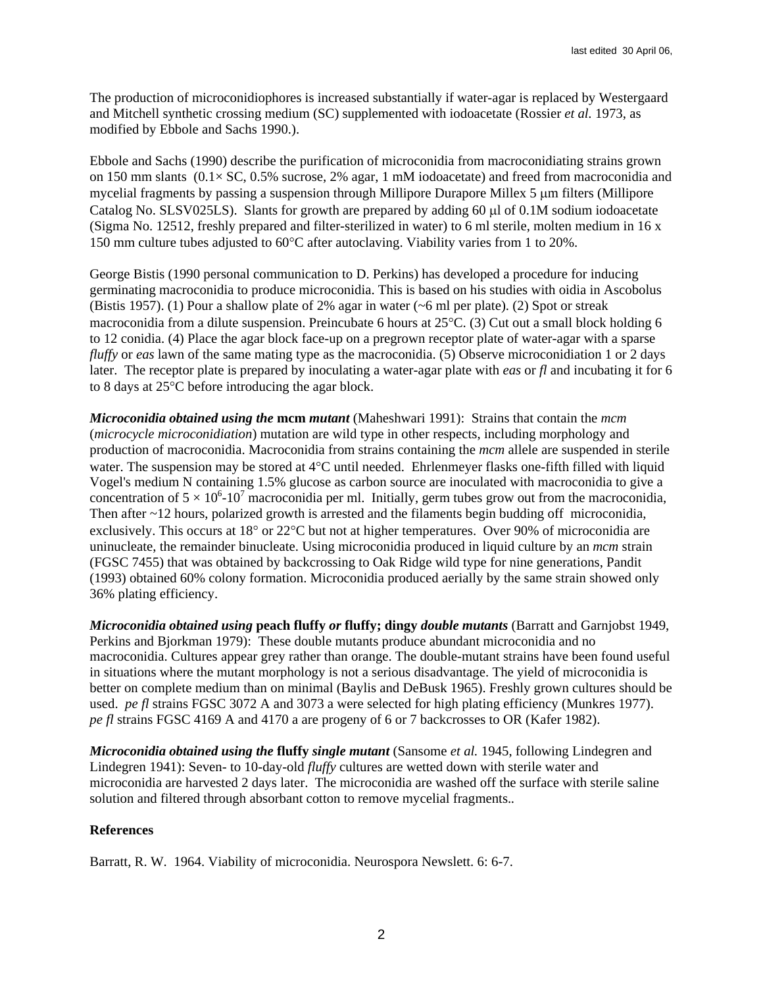The production of microconidiophores is increased substantially if water-agar is replaced by Westergaard and Mitchell synthetic crossing medium (SC) supplemented with iodoacetate (Rossier *et al.* 1973, as modified by Ebbole and Sachs 1990.).

Ebbole and Sachs (1990) describe the purification of microconidia from macroconidiating strains grown on 150 mm slants  $(0.1 \times$  SC, 0.5% sucrose, 2% agar, 1 mM iodoacetate) and freed from macroconidia and mycelial fragments by passing a suspension through Millipore Durapore Millex 5 um filters (Millipore Catalog No. SLSV025LS). Slants for growth are prepared by adding 60 µl of 0.1M sodium iodoacetate (Sigma No. 12512, freshly prepared and filter-sterilized in water) to 6 ml sterile, molten medium in 16 x 150 mm culture tubes adjusted to 60°C after autoclaving. Viability varies from 1 to 20%.

George Bistis (1990 personal communication to D. Perkins) has developed a procedure for inducing germinating macroconidia to produce microconidia. This is based on his studies with oidia in Ascobolus (Bistis 1957). (1) Pour a shallow plate of 2% agar in water (~6 ml per plate). (2) Spot or streak macroconidia from a dilute suspension. Preincubate 6 hours at 25°C. (3) Cut out a small block holding 6 to 12 conidia. (4) Place the agar block face-up on a pregrown receptor plate of water-agar with a sparse *fluffy* or *eas* lawn of the same mating type as the macroconidia. (5) Observe microconidiation 1 or 2 days later. The receptor plate is prepared by inoculating a water-agar plate with *eas* or *fl* and incubating it for 6 to 8 days at 25°C before introducing the agar block.

*Microconidia obtained using the* **mcm** *mutant* (Maheshwari 1991): Strains that contain the *mcm* (*microcycle microconidiation*) mutation are wild type in other respects, including morphology and production of macroconidia. Macroconidia from strains containing the *mcm* allele are suspended in sterile water. The suspension may be stored at 4°C until needed. Ehrlenmeyer flasks one-fifth filled with liquid Vogel's medium N containing 1.5% glucose as carbon source are inoculated with macroconidia to give a concentration of  $5 \times 10^6$ -10<sup>7</sup> macroconidia per ml. Initially, germ tubes grow out from the macroconidia, Then after ~12 hours, polarized growth is arrested and the filaments begin budding off microconidia, exclusively. This occurs at 18° or 22°C but not at higher temperatures. Over 90% of microconidia are uninucleate, the remainder binucleate. Using microconidia produced in liquid culture by an *mcm* strain (FGSC 7455) that was obtained by backcrossing to Oak Ridge wild type for nine generations, Pandit (1993) obtained 60% colony formation. Microconidia produced aerially by the same strain showed only 36% plating efficiency.

*Microconidia obtained using* **peach fluffy** *or* **fluffy; dingy** *double mutants* (Barratt and Garnjobst 1949, Perkins and Bjorkman 1979): These double mutants produce abundant microconidia and no macroconidia. Cultures appear grey rather than orange. The double-mutant strains have been found useful in situations where the mutant morphology is not a serious disadvantage. The yield of microconidia is better on complete medium than on minimal (Baylis and DeBusk 1965). Freshly grown cultures should be used. *pe fl* strains FGSC 3072 A and 3073 a were selected for high plating efficiency (Munkres 1977). *pe fl* strains FGSC 4169 A and 4170 a are progeny of 6 or 7 backcrosses to OR (Kafer 1982).

*Microconidia obtained using the* **fluffy** *single mutant* (Sansome *et al.* 1945, following Lindegren and Lindegren 1941): Seven- to 10-day-old *fluffy* cultures are wetted down with sterile water and microconidia are harvested 2 days later. The microconidia are washed off the surface with sterile saline solution and filtered through absorbant cotton to remove mycelial fragments.*.* 

# **References**

Barratt, R. W. 1964. Viability of microconidia. Neurospora Newslett. 6: 6-7.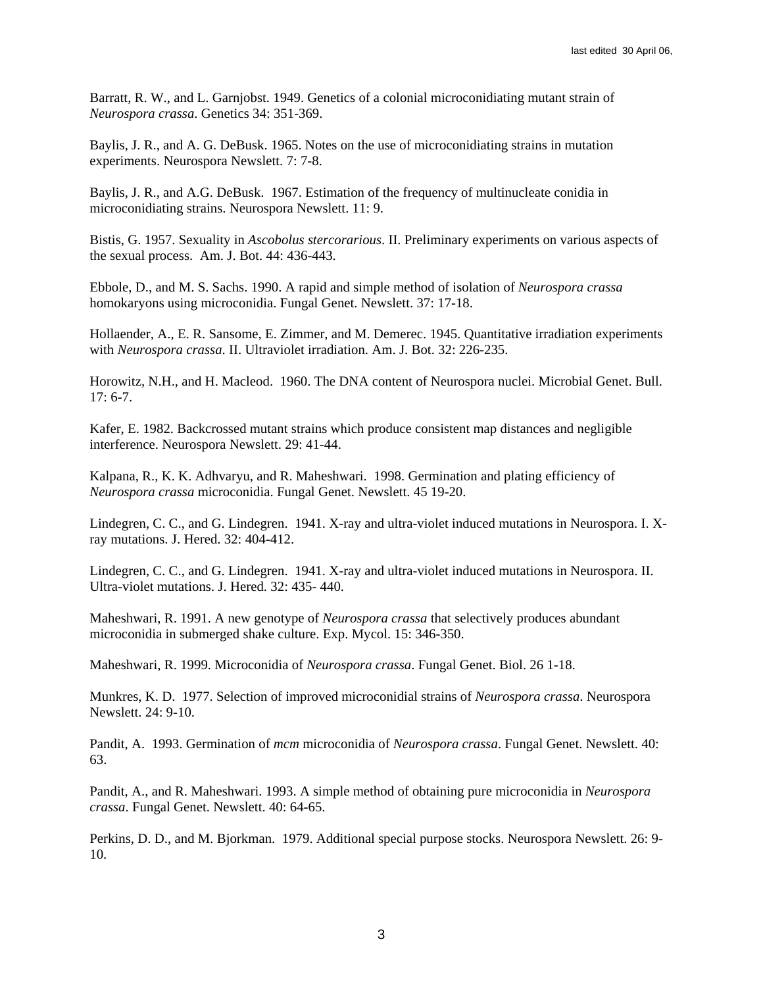Barratt, R. W., and L. Garnjobst. 1949. Genetics of a colonial microconidiating mutant strain of *Neurospora crassa*. Genetics 34: 351-369.

Baylis, J. R., and A. G. DeBusk. 1965. Notes on the use of microconidiating strains in mutation experiments. Neurospora Newslett. 7: 7-8.

Baylis, J. R., and A.G. DeBusk. 1967. Estimation of the frequency of multinucleate conidia in microconidiating strains. Neurospora Newslett. 11: 9.

Bistis, G. 1957. Sexuality in *Ascobolus stercorarious*. II. Preliminary experiments on various aspects of the sexual process. Am. J. Bot. 44: 436-443.

Ebbole, D., and M. S. Sachs. 1990. A rapid and simple method of isolation of *Neurospora crassa* homokaryons using microconidia. Fungal Genet. Newslett. 37: 17-18.

Hollaender, A., E. R. Sansome, E. Zimmer, and M. Demerec. 1945. Quantitative irradiation experiments with *Neurospora crassa*. II. Ultraviolet irradiation. Am. J. Bot. 32: 226-235.

Horowitz, N.H., and H. Macleod. 1960. The DNA content of Neurospora nuclei. Microbial Genet. Bull. 17: 6-7.

Kafer, E. 1982. Backcrossed mutant strains which produce consistent map distances and negligible interference. Neurospora Newslett. 29: 41-44.

Kalpana, R., K. K. Adhvaryu, and R. Maheshwari. 1998. Germination and plating efficiency of *Neurospora crassa* microconidia. Fungal Genet. Newslett. 45 19-20.

Lindegren, C. C., and G. Lindegren. 1941. X-ray and ultra-violet induced mutations in Neurospora. I. Xray mutations. J. Hered. 32: 404-412.

Lindegren, C. C., and G. Lindegren. 1941. X-ray and ultra-violet induced mutations in Neurospora. II. Ultra-violet mutations. J. Hered. 32: 435- 440.

Maheshwari, R. 1991. A new genotype of *Neurospora crassa* that selectively produces abundant microconidia in submerged shake culture. Exp. Mycol. 15: 346-350.

Maheshwari, R. 1999. Microconidia of *Neurospora crassa*. Fungal Genet. Biol. 26 1-18.

Munkres, K. D. 1977. Selection of improved microconidial strains of *Neurospora crassa*. Neurospora Newslett. 24: 9-10.

Pandit, A. 1993. Germination of *mcm* microconidia of *Neurospora crassa*. Fungal Genet. Newslett. 40: 63.

Pandit, A., and R. Maheshwari. 1993. A simple method of obtaining pure microconidia in *Neurospora crassa*. Fungal Genet. Newslett. 40: 64-65.

Perkins, D. D., and M. Bjorkman. 1979. Additional special purpose stocks. Neurospora Newslett. 26: 9- 10.